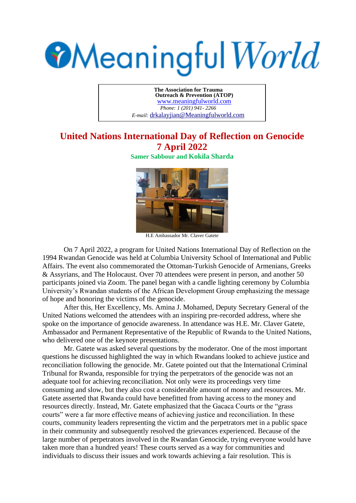## **Meaningful World**

**The Association for Trauma Outreach & Prevention (ATOP)**  www.meaningfulworld.com *Phone: 1 (201) 941- 2266 E-mail:* drkalayjian@Meaningfulworld.com

## **United Nations International Day of Reflection on Genocide 7 April 2022**

**Samer Sabbour and Kokila Sharda**



H.E Ambassador Mr. Claver Gatete

On 7 April 2022, a program for United Nations International Day of Reflection on the 1994 Rwandan Genocide was held at Columbia University School of International and Public Affairs. The event also commemorated the Ottoman-Turkish Genocide of Armenians, Greeks & Assyrians, and The Holocaust. Over 70 attendees were present in person, and another 50 participants joined via Zoom. The panel began with a candle lighting ceremony by Columbia University's Rwandan students of the African Development Group emphasizing the message of hope and honoring the victims of the genocide.

After this, Her Excellency, Ms. Amina J. Mohamed, Deputy Secretary General of the United Nations welcomed the attendees with an inspiring pre-recorded address, where she spoke on the importance of genocide awareness. In attendance was H.E. Mr. Claver Gatete, Ambassador and Permanent Representative of the Republic of Rwanda to the United Nations, who delivered one of the keynote presentations.

Mr. Gatete was asked several questions by the moderator. One of the most important questions he discussed highlighted the way in which Rwandans looked to achieve justice and reconciliation following the genocide. Mr. Gatete pointed out that the International Criminal Tribunal for Rwanda, responsible for trying the perpetrators of the genocide was not an adequate tool for achieving reconciliation. Not only were its proceedings very time consuming and slow, but they also cost a considerable amount of money and resources. Mr. Gatete asserted that Rwanda could have benefitted from having access to the money and resources directly. Instead, Mr. Gatete emphasized that the Gacaca Courts or the "grass courts" were a far more effective means of achieving justice and reconciliation. In these courts, community leaders representing the victim and the perpetrators met in a public space in their community and subsequently resolved the grievances experienced. Because of the large number of perpetrators involved in the Rwandan Genocide, trying everyone would have taken more than a hundred years! These courts served as a way for communities and individuals to discuss their issues and work towards achieving a fair resolution. This is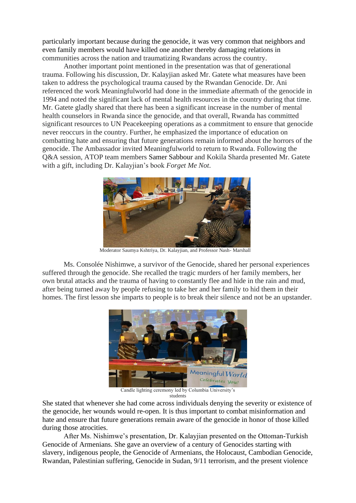particularly important because during the genocide, it was very common that neighbors and even family members would have killed one another thereby damaging relations in communities across the nation and traumatizing Rwandans across the country.

Another important point mentioned in the presentation was that of generational trauma. Following his discussion, Dr. Kalayjian asked Mr. Gatete what measures have been taken to address the psychological trauma caused by the Rwandan Genocide. Dr. Ani referenced the work Meaningfulworld had done in the immediate aftermath of the genocide in 1994 and noted the significant lack of mental health resources in the country during that time. Mr. Gatete gladly shared that there has been a significant increase in the number of mental health counselors in Rwanda since the genocide, and that overall, Rwanda has committed significant resources to UN Peacekeeping operations as a commitment to ensure that genocide never reoccurs in the country. Further, he emphasized the importance of education on combatting hate and ensuring that future generations remain informed about the horrors of the genocide. The Ambassador invited Meaningfulworld to return to Rwanda. Following the Q&A session, ATOP team members Samer Sabbour and Kokila Sharda presented Mr. Gatete with a gift, including Dr. Kalayjian's book *Forget Me Not*.



Moderator Saumya Kshtriya, Dr. Kalayjian, and Professor Nash- Marshall

Ms. Consolée Nishimwe, a survivor of the Genocide, shared her personal experiences suffered through the genocide. She recalled the tragic murders of her family members, her own brutal attacks and the trauma of having to constantly flee and hide in the rain and mud, after being turned away by people refusing to take her and her family to hid them in their homes. The first lesson she imparts to people is to break their silence and not be an upstander.



Candle lighting ceremony led by Columbia University's students

She stated that whenever she had come across individuals denying the severity or existence of the genocide, her wounds would re-open. It is thus important to combat misinformation and hate and ensure that future generations remain aware of the genocide in honor of those killed during those atrocities.

After Ms. Nishimwe's presentation, Dr. Kalayjian presented on the Ottoman-Turkish Genocide of Armenians. She gave an overview of a century of Genocides starting with slavery, indigenous people, the Genocide of Armenians, the Holocaust, Cambodian Genocide, Rwandan, Palestinian suffering, Genocide in Sudan, 9/11 terrorism, and the present violence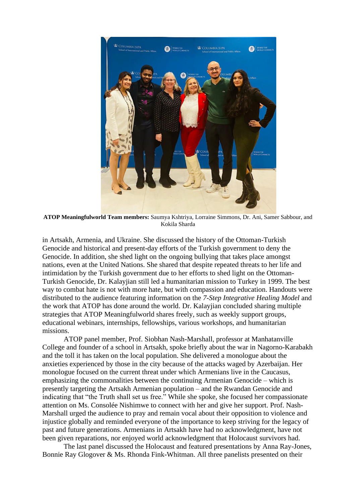

**ATOP Meaningfulworld Team members:** Saumya Kshtriya, Lorraine Simmons, Dr. Ani, Samer Sabbour, and Kokila Sharda

in Artsakh, Armenia, and Ukraine. She discussed the history of the Ottoman-Turkish Genocide and historical and present-day efforts of the Turkish government to deny the Genocide. In addition, she shed light on the ongoing bullying that takes place amongst nations, even at the United Nations. She shared that despite repeated threats to her life and intimidation by the Turkish government due to her efforts to shed light on the Ottoman-Turkish Genocide, Dr. Kalayjian still led a humanitarian mission to Turkey in 1999. The best way to combat hate is not with more hate, but with compassion and education. Handouts were distributed to the audience featuring information on the *7-Step Integrative Healing Model* and the work that ATOP has done around the world. Dr. Kalayjian concluded sharing multiple strategies that ATOP Meaningfulworld shares freely, such as weekly support groups, educational webinars, internships, fellowships, various workshops, and humanitarian missions.

ATOP panel member, Prof. Siobhan Nash-Marshall, professor at Manhatanville College and founder of a school in Artsakh, spoke briefly about the war in Nagorno-Karabakh and the toll it has taken on the local population. She delivered a monologue about the anxieties experienced by those in the city because of the attacks waged by Azerbaijan. Her monologue focused on the current threat under which Armenians live in the Caucasus, emphasizing the commonalities between the continuing Armenian Genocide – which is presently targeting the Artsakh Armenian population – and the Rwandan Genocide and indicating that "the Truth shall set us free." While she spoke, she focused her compassionate attention on Ms. Consolée Nishimwe to connect with her and give her support. Prof. Nash-Marshall urged the audience to pray and remain vocal about their opposition to violence and injustice globally and reminded everyone of the importance to keep striving for the legacy of past and future generations. Armenians in Artsakh have had no acknowledgment, have not been given reparations, nor enjoyed world acknowledgment that Holocaust survivors had.

The last panel discussed the Holocaust and featured presentations by Anna Ray-Jones, Bonnie Ray Glogover & Ms. Rhonda Fink-Whitman. All three panelists presented on their